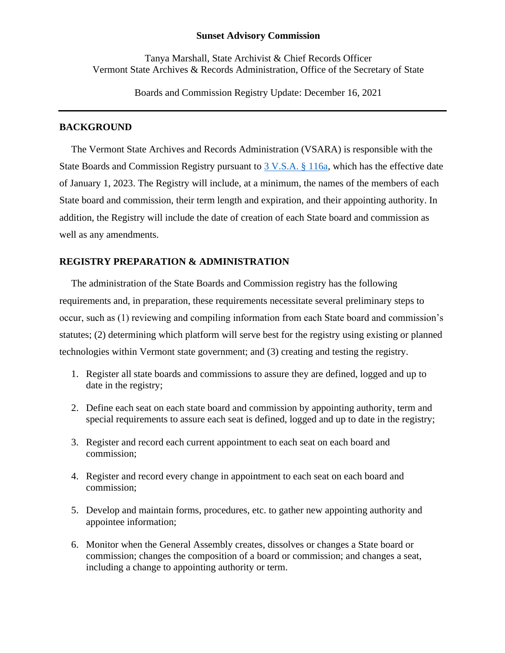#### **Sunset Advisory Commission**

Tanya Marshall, State Archivist & Chief Records Officer Vermont State Archives & Records Administration, Office of the Secretary of State

Boards and Commission Registry Update: December 16, 2021

# **BACKGROUND**

The Vermont State Archives and Records Administration (VSARA) is responsible with the State Boards and Commission Registry pursuant to [3 V.S.A. § 116a,](https://legislature.vermont.gov/statutes/section/03/005/00116a) which has the effective date of January 1, 2023. The Registry will include, at a minimum, the names of the members of each State board and commission, their term length and expiration, and their appointing authority. In addition, the Registry will include the date of creation of each State board and commission as well as any amendments.

## **REGISTRY PREPARATION & ADMINISTRATION**

The administration of the State Boards and Commission registry has the following requirements and, in preparation, these requirements necessitate several preliminary steps to occur, such as (1) reviewing and compiling information from each State board and commission's statutes; (2) determining which platform will serve best for the registry using existing or planned technologies within Vermont state government; and (3) creating and testing the registry.

- 1. Register all state boards and commissions to assure they are defined, logged and up to date in the registry;
- 2. Define each seat on each state board and commission by appointing authority, term and special requirements to assure each seat is defined, logged and up to date in the registry;
- 3. Register and record each current appointment to each seat on each board and commission;
- 4. Register and record every change in appointment to each seat on each board and commission;
- 5. Develop and maintain forms, procedures, etc. to gather new appointing authority and appointee information;
- 6. Monitor when the General Assembly creates, dissolves or changes a State board or commission; changes the composition of a board or commission; and changes a seat, including a change to appointing authority or term.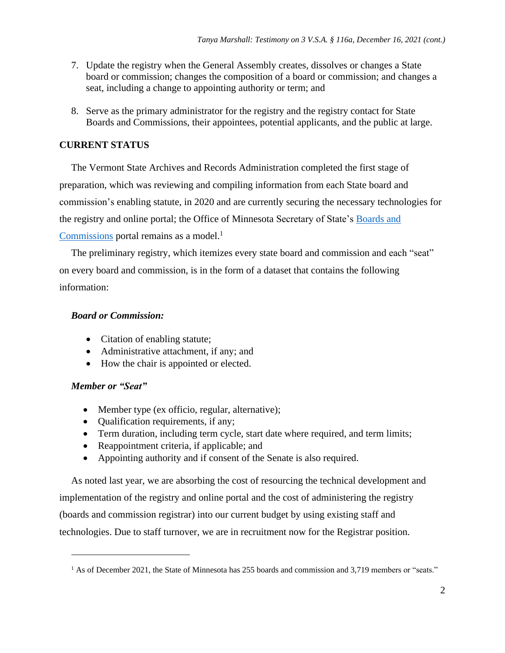- 7. Update the registry when the General Assembly creates, dissolves or changes a State board or commission; changes the composition of a board or commission; and changes a seat, including a change to appointing authority or term; and
- 8. Serve as the primary administrator for the registry and the registry contact for State Boards and Commissions, their appointees, potential applicants, and the public at large.

# **CURRENT STATUS**

The Vermont State Archives and Records Administration completed the first stage of preparation, which was reviewing and compiling information from each State board and commission's enabling statute, in 2020 and are currently securing the necessary technologies for the registry and online portal; the Office of Minnesota Secretary of State's [Boards and](https://www.sos.state.mn.us/boards-commissions/)  [Commissions](https://www.sos.state.mn.us/boards-commissions/) portal remains as a model. $<sup>1</sup>$ </sup>

The preliminary registry, which itemizes every state board and commission and each "seat" on every board and commission, is in the form of a dataset that contains the following information:

## *Board or Commission:*

- Citation of enabling statute;
- Administrative attachment, if any; and
- How the chair is appointed or elected.

# *Member or "Seat"*

- Member type (ex officio, regular, alternative);
- Qualification requirements, if any;
- Term duration, including term cycle, start date where required, and term limits;
- Reappointment criteria, if applicable; and
- Appointing authority and if consent of the Senate is also required.

As noted last year, we are absorbing the cost of resourcing the technical development and implementation of the registry and online portal and the cost of administering the registry (boards and commission registrar) into our current budget by using existing staff and technologies. Due to staff turnover, we are in recruitment now for the Registrar position.

 $1$  As of December 2021, the State of Minnesota has 255 boards and commission and 3,719 members or "seats."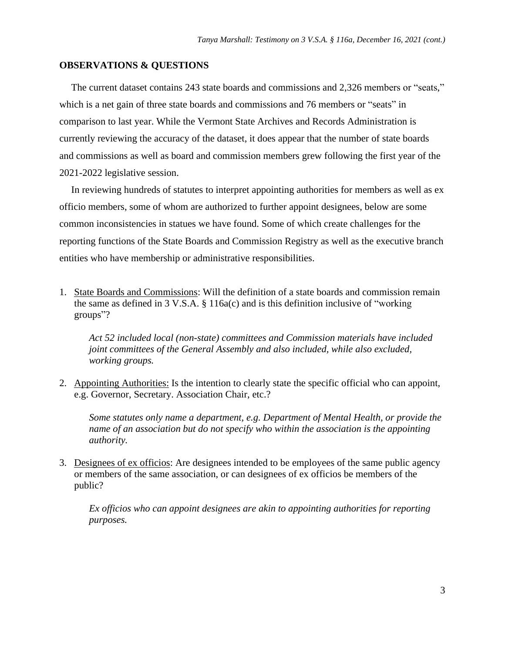#### **OBSERVATIONS & QUESTIONS**

The current dataset contains 243 state boards and commissions and 2,326 members or "seats," which is a net gain of three state boards and commissions and 76 members or "seats" in comparison to last year. While the Vermont State Archives and Records Administration is currently reviewing the accuracy of the dataset, it does appear that the number of state boards and commissions as well as board and commission members grew following the first year of the 2021-2022 legislative session.

In reviewing hundreds of statutes to interpret appointing authorities for members as well as ex officio members, some of whom are authorized to further appoint designees, below are some common inconsistencies in statues we have found. Some of which create challenges for the reporting functions of the State Boards and Commission Registry as well as the executive branch entities who have membership or administrative responsibilities.

1. State Boards and Commissions: Will the definition of a state boards and commission remain the same as defined in 3 V.S.A. § 116a(c) and is this definition inclusive of "working groups"?

*Act 52 included local (non-state) committees and Commission materials have included joint committees of the General Assembly and also included, while also excluded, working groups.*

2. Appointing Authorities: Is the intention to clearly state the specific official who can appoint, e.g. Governor, Secretary. Association Chair, etc.?

*Some statutes only name a department, e.g. Department of Mental Health, or provide the name of an association but do not specify who within the association is the appointing authority.*

3. Designees of ex officios: Are designees intended to be employees of the same public agency or members of the same association, or can designees of ex officios be members of the public?

*Ex officios who can appoint designees are akin to appointing authorities for reporting purposes.*